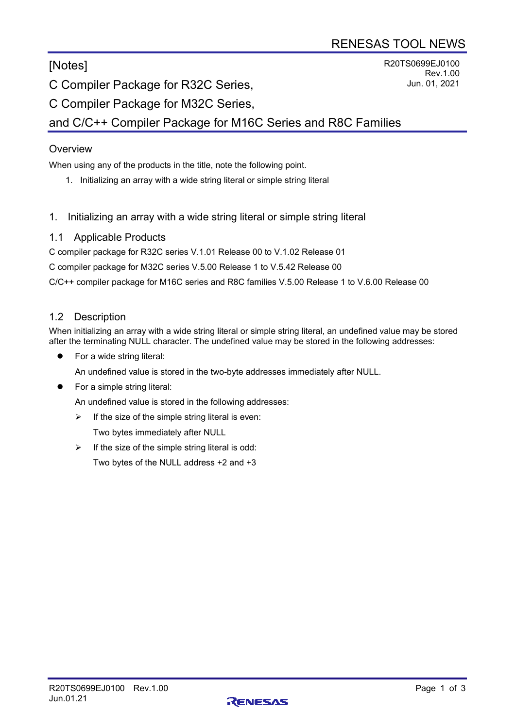[Notes]

R20TS0699EJ0100 Rev.1.00 Jun. 01, 2021

C Compiler Package for R32C Series,

C Compiler Package for M32C Series,

and C/C++ Compiler Package for M16C Series and R8C Families

# **Overview**

When using any of the products in the title, note the following point.

- 1. Initializing an array with a wide string literal or simple string literal
- 1. Initializing an array with a wide string literal or simple string literal

## 1.1 Applicable Products

C compiler package for R32C series V.1.01 Release 00 to V.1.02 Release 01

C compiler package for M32C series V.5.00 Release 1 to V.5.42 Release 00

C/C++ compiler package for M16C series and R8C families V.5.00 Release 1 to V.6.00 Release 00

## 1.2 Description

When initializing an array with a wide string literal or simple string literal, an undefined value may be stored after the terminating NULL character. The undefined value may be stored in the following addresses:

**•** For a wide string literal:

An undefined value is stored in the two-byte addresses immediately after NULL.

For a simple string literal:

An undefined value is stored in the following addresses:

 $\triangleright$  If the size of the simple string literal is even:

Two bytes immediately after NULL

 $\triangleright$  If the size of the simple string literal is odd:

Two bytes of the NULL address +2 and +3

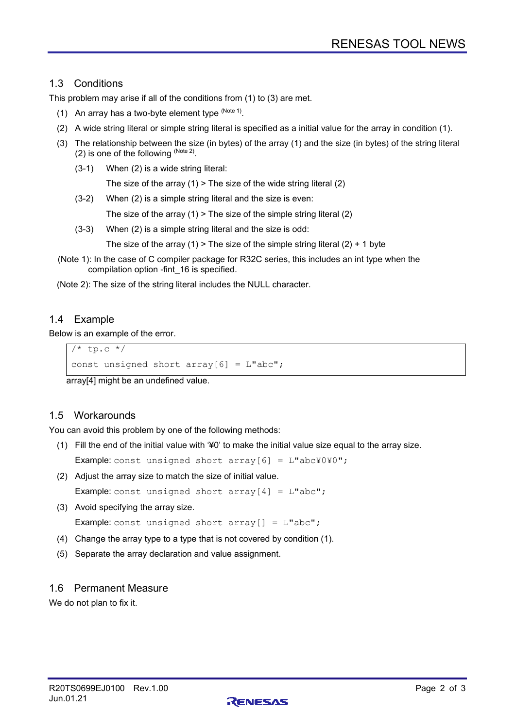# 1.3 Conditions

This problem may arise if all of the conditions from (1) to (3) are met.

- (1) An array has a two-byte element type  $(N^{o_{\text{tot}}-1})$ .
- (2) A wide string literal or simple string literal is specified as a initial value for the array in condition (1).
- (3) The relationship between the size (in bytes) of the array (1) and the size (in bytes) of the string literal (2) is one of the following  $(N^{1/10})$ .
	- (3-1) When (2) is a wide string literal:

The size of the array  $(1)$  > The size of the wide string literal  $(2)$ 

(3-2) When (2) is a simple string literal and the size is even:

The size of the array  $(1)$  > The size of the simple string literal  $(2)$ 

(3-3) When (2) is a simple string literal and the size is odd:

The size of the array (1) > The size of the simple string literal (2) + 1 byte

(Note 1): In the case of C compiler package for R32C series, this includes an int type when the compilation option -fint\_16 is specified.

(Note 2): The size of the string literal includes the NULL character.

# 1.4 Example

Below is an example of the error.

```
/* tp.c */const unsigned short array[6] = L"abc";
```
array[4] might be an undefined value.

## 1.5 Workarounds

You can avoid this problem by one of the following methods:

(1) Fill the end of the initial value with '¥0' to make the initial value size equal to the array size.

**Example:** const unsigned short  $array[6] = L"abcY0Y0"$ ;

(2) Adjust the array size to match the size of initial value.

**Example:** const unsigned short  $array[4] = L"abc"$ ;

(3) Avoid specifying the array size.

**Example:** const unsigned short  $array[] = L"abc"$ ;

- (4) Change the array type to a type that is not covered by condition (1).
- (5) Separate the array declaration and value assignment.

### 1.6 Permanent Measure

We do not plan to fix it.